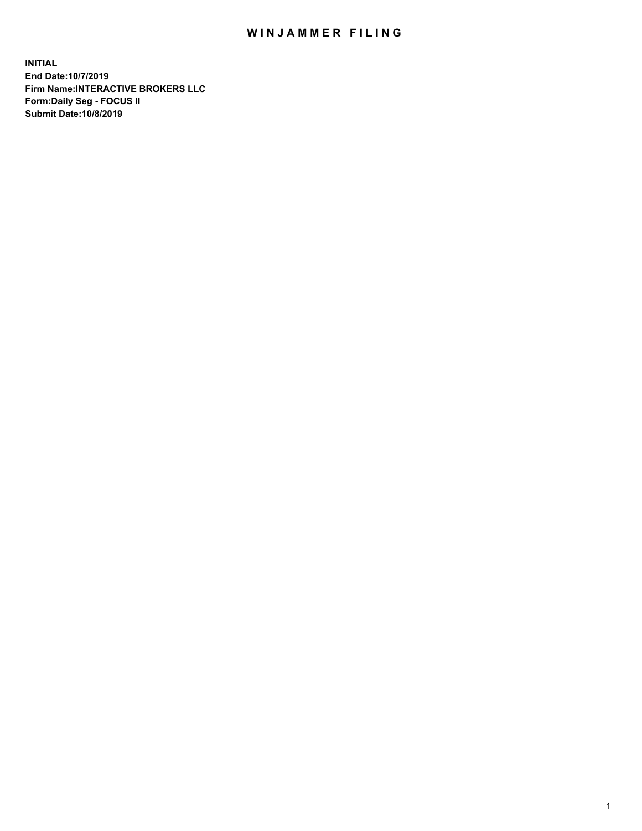## WIN JAMMER FILING

**INITIAL End Date:10/7/2019 Firm Name:INTERACTIVE BROKERS LLC Form:Daily Seg - FOCUS II Submit Date:10/8/2019**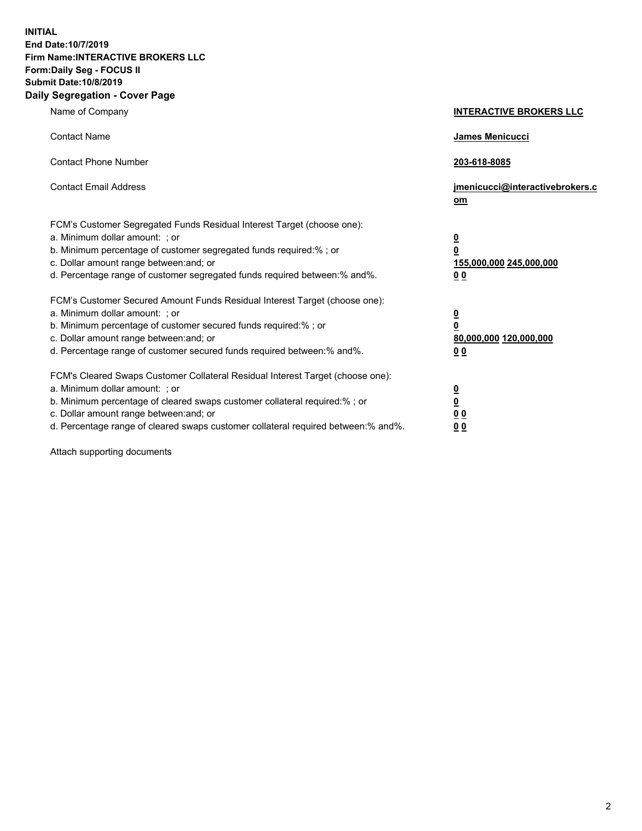**INITIAL End Date:10/7/2019 Firm Name:INTERACTIVE BROKERS LLC Form:Daily Seg - FOCUS II Submit Date:10/8/2019 Daily Segregation - Cover Page**

| Name of Company                                                                                                                                                                                                                                                                                                                | <b>INTERACTIVE BROKERS LLC</b>                                                                  |
|--------------------------------------------------------------------------------------------------------------------------------------------------------------------------------------------------------------------------------------------------------------------------------------------------------------------------------|-------------------------------------------------------------------------------------------------|
| <b>Contact Name</b>                                                                                                                                                                                                                                                                                                            | James Menicucci                                                                                 |
| <b>Contact Phone Number</b>                                                                                                                                                                                                                                                                                                    | 203-618-8085                                                                                    |
| <b>Contact Email Address</b>                                                                                                                                                                                                                                                                                                   | jmenicucci@interactivebrokers.c<br>om                                                           |
| FCM's Customer Segregated Funds Residual Interest Target (choose one):<br>a. Minimum dollar amount: ; or<br>b. Minimum percentage of customer segregated funds required:% ; or<br>c. Dollar amount range between: and; or<br>d. Percentage range of customer segregated funds required between:% and%.                         | $\overline{\mathbf{0}}$<br>$\overline{\mathbf{0}}$<br>155,000,000 245,000,000<br>0 <sub>0</sub> |
| FCM's Customer Secured Amount Funds Residual Interest Target (choose one):<br>a. Minimum dollar amount: ; or<br>b. Minimum percentage of customer secured funds required:% ; or<br>c. Dollar amount range between: and; or<br>d. Percentage range of customer secured funds required between:% and%.                           | $\overline{\mathbf{0}}$<br>0<br>80,000,000 120,000,000<br>0 <sub>0</sub>                        |
| FCM's Cleared Swaps Customer Collateral Residual Interest Target (choose one):<br>a. Minimum dollar amount: ; or<br>b. Minimum percentage of cleared swaps customer collateral required:% ; or<br>c. Dollar amount range between: and; or<br>d. Percentage range of cleared swaps customer collateral required between:% and%. | $\overline{\mathbf{0}}$<br><u>0</u><br>$\underline{0}$ $\underline{0}$<br>00                    |

Attach supporting documents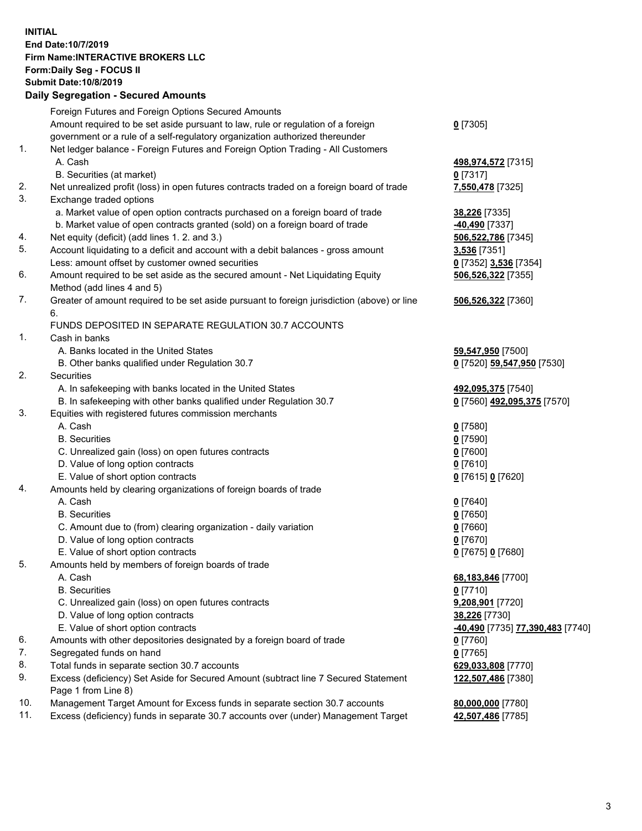## **INITIAL End Date:10/7/2019 Firm Name:INTERACTIVE BROKERS LLC Form:Daily Seg - FOCUS II Submit Date:10/8/2019 Daily Segregation - Secured Amounts**

| Daily Ocglegation - Occured Anioants                                                        |                                                                                                                                                                                                                                                                                                                                                                                                                                                                                                                                                                                                                                                                                                                                                                                                                                                                                                                                                                                                                                                                                                                                                                                                                                                                                                                                                                                                                                                                                |
|---------------------------------------------------------------------------------------------|--------------------------------------------------------------------------------------------------------------------------------------------------------------------------------------------------------------------------------------------------------------------------------------------------------------------------------------------------------------------------------------------------------------------------------------------------------------------------------------------------------------------------------------------------------------------------------------------------------------------------------------------------------------------------------------------------------------------------------------------------------------------------------------------------------------------------------------------------------------------------------------------------------------------------------------------------------------------------------------------------------------------------------------------------------------------------------------------------------------------------------------------------------------------------------------------------------------------------------------------------------------------------------------------------------------------------------------------------------------------------------------------------------------------------------------------------------------------------------|
| Foreign Futures and Foreign Options Secured Amounts                                         |                                                                                                                                                                                                                                                                                                                                                                                                                                                                                                                                                                                                                                                                                                                                                                                                                                                                                                                                                                                                                                                                                                                                                                                                                                                                                                                                                                                                                                                                                |
| Amount required to be set aside pursuant to law, rule or regulation of a foreign            | $0$ [7305]                                                                                                                                                                                                                                                                                                                                                                                                                                                                                                                                                                                                                                                                                                                                                                                                                                                                                                                                                                                                                                                                                                                                                                                                                                                                                                                                                                                                                                                                     |
| government or a rule of a self-regulatory organization authorized thereunder                |                                                                                                                                                                                                                                                                                                                                                                                                                                                                                                                                                                                                                                                                                                                                                                                                                                                                                                                                                                                                                                                                                                                                                                                                                                                                                                                                                                                                                                                                                |
| Net ledger balance - Foreign Futures and Foreign Option Trading - All Customers             |                                                                                                                                                                                                                                                                                                                                                                                                                                                                                                                                                                                                                                                                                                                                                                                                                                                                                                                                                                                                                                                                                                                                                                                                                                                                                                                                                                                                                                                                                |
| A. Cash                                                                                     | 498, 974, 572 [7315]                                                                                                                                                                                                                                                                                                                                                                                                                                                                                                                                                                                                                                                                                                                                                                                                                                                                                                                                                                                                                                                                                                                                                                                                                                                                                                                                                                                                                                                           |
| B. Securities (at market)                                                                   | $0$ [7317]                                                                                                                                                                                                                                                                                                                                                                                                                                                                                                                                                                                                                                                                                                                                                                                                                                                                                                                                                                                                                                                                                                                                                                                                                                                                                                                                                                                                                                                                     |
| Net unrealized profit (loss) in open futures contracts traded on a foreign board of trade   | 7,550,478 [7325]                                                                                                                                                                                                                                                                                                                                                                                                                                                                                                                                                                                                                                                                                                                                                                                                                                                                                                                                                                                                                                                                                                                                                                                                                                                                                                                                                                                                                                                               |
| Exchange traded options                                                                     |                                                                                                                                                                                                                                                                                                                                                                                                                                                                                                                                                                                                                                                                                                                                                                                                                                                                                                                                                                                                                                                                                                                                                                                                                                                                                                                                                                                                                                                                                |
| a. Market value of open option contracts purchased on a foreign board of trade              | 38,226 [7335]                                                                                                                                                                                                                                                                                                                                                                                                                                                                                                                                                                                                                                                                                                                                                                                                                                                                                                                                                                                                                                                                                                                                                                                                                                                                                                                                                                                                                                                                  |
|                                                                                             | -40,490 <sup>[7337]</sup>                                                                                                                                                                                                                                                                                                                                                                                                                                                                                                                                                                                                                                                                                                                                                                                                                                                                                                                                                                                                                                                                                                                                                                                                                                                                                                                                                                                                                                                      |
|                                                                                             | 506,522,786 [7345]                                                                                                                                                                                                                                                                                                                                                                                                                                                                                                                                                                                                                                                                                                                                                                                                                                                                                                                                                                                                                                                                                                                                                                                                                                                                                                                                                                                                                                                             |
|                                                                                             | 3,536 [7351]                                                                                                                                                                                                                                                                                                                                                                                                                                                                                                                                                                                                                                                                                                                                                                                                                                                                                                                                                                                                                                                                                                                                                                                                                                                                                                                                                                                                                                                                   |
| Less: amount offset by customer owned securities                                            | 0 [7352] 3,536 [7354]                                                                                                                                                                                                                                                                                                                                                                                                                                                                                                                                                                                                                                                                                                                                                                                                                                                                                                                                                                                                                                                                                                                                                                                                                                                                                                                                                                                                                                                          |
| Amount required to be set aside as the secured amount - Net Liquidating Equity              | 506,526,322 [7355]                                                                                                                                                                                                                                                                                                                                                                                                                                                                                                                                                                                                                                                                                                                                                                                                                                                                                                                                                                                                                                                                                                                                                                                                                                                                                                                                                                                                                                                             |
|                                                                                             |                                                                                                                                                                                                                                                                                                                                                                                                                                                                                                                                                                                                                                                                                                                                                                                                                                                                                                                                                                                                                                                                                                                                                                                                                                                                                                                                                                                                                                                                                |
| Greater of amount required to be set aside pursuant to foreign jurisdiction (above) or line | 506,526,322 [7360]                                                                                                                                                                                                                                                                                                                                                                                                                                                                                                                                                                                                                                                                                                                                                                                                                                                                                                                                                                                                                                                                                                                                                                                                                                                                                                                                                                                                                                                             |
| 6.                                                                                          |                                                                                                                                                                                                                                                                                                                                                                                                                                                                                                                                                                                                                                                                                                                                                                                                                                                                                                                                                                                                                                                                                                                                                                                                                                                                                                                                                                                                                                                                                |
| FUNDS DEPOSITED IN SEPARATE REGULATION 30.7 ACCOUNTS                                        |                                                                                                                                                                                                                                                                                                                                                                                                                                                                                                                                                                                                                                                                                                                                                                                                                                                                                                                                                                                                                                                                                                                                                                                                                                                                                                                                                                                                                                                                                |
| Cash in banks                                                                               |                                                                                                                                                                                                                                                                                                                                                                                                                                                                                                                                                                                                                                                                                                                                                                                                                                                                                                                                                                                                                                                                                                                                                                                                                                                                                                                                                                                                                                                                                |
| A. Banks located in the United States                                                       | 59,547,950 [7500]                                                                                                                                                                                                                                                                                                                                                                                                                                                                                                                                                                                                                                                                                                                                                                                                                                                                                                                                                                                                                                                                                                                                                                                                                                                                                                                                                                                                                                                              |
| B. Other banks qualified under Regulation 30.7                                              | 0 [7520] 59,547,950 [7530]                                                                                                                                                                                                                                                                                                                                                                                                                                                                                                                                                                                                                                                                                                                                                                                                                                                                                                                                                                                                                                                                                                                                                                                                                                                                                                                                                                                                                                                     |
| Securities                                                                                  |                                                                                                                                                                                                                                                                                                                                                                                                                                                                                                                                                                                                                                                                                                                                                                                                                                                                                                                                                                                                                                                                                                                                                                                                                                                                                                                                                                                                                                                                                |
| A. In safekeeping with banks located in the United States                                   | 492,095,375 [7540]                                                                                                                                                                                                                                                                                                                                                                                                                                                                                                                                                                                                                                                                                                                                                                                                                                                                                                                                                                                                                                                                                                                                                                                                                                                                                                                                                                                                                                                             |
|                                                                                             | 0 [7560] 492,095,375 [7570]                                                                                                                                                                                                                                                                                                                                                                                                                                                                                                                                                                                                                                                                                                                                                                                                                                                                                                                                                                                                                                                                                                                                                                                                                                                                                                                                                                                                                                                    |
|                                                                                             |                                                                                                                                                                                                                                                                                                                                                                                                                                                                                                                                                                                                                                                                                                                                                                                                                                                                                                                                                                                                                                                                                                                                                                                                                                                                                                                                                                                                                                                                                |
|                                                                                             | $0$ [7580]                                                                                                                                                                                                                                                                                                                                                                                                                                                                                                                                                                                                                                                                                                                                                                                                                                                                                                                                                                                                                                                                                                                                                                                                                                                                                                                                                                                                                                                                     |
|                                                                                             | $0$ [7590]                                                                                                                                                                                                                                                                                                                                                                                                                                                                                                                                                                                                                                                                                                                                                                                                                                                                                                                                                                                                                                                                                                                                                                                                                                                                                                                                                                                                                                                                     |
|                                                                                             | $0$ [7600]                                                                                                                                                                                                                                                                                                                                                                                                                                                                                                                                                                                                                                                                                                                                                                                                                                                                                                                                                                                                                                                                                                                                                                                                                                                                                                                                                                                                                                                                     |
|                                                                                             | $0$ [7610]                                                                                                                                                                                                                                                                                                                                                                                                                                                                                                                                                                                                                                                                                                                                                                                                                                                                                                                                                                                                                                                                                                                                                                                                                                                                                                                                                                                                                                                                     |
|                                                                                             | 0 [7615] 0 [7620]                                                                                                                                                                                                                                                                                                                                                                                                                                                                                                                                                                                                                                                                                                                                                                                                                                                                                                                                                                                                                                                                                                                                                                                                                                                                                                                                                                                                                                                              |
|                                                                                             |                                                                                                                                                                                                                                                                                                                                                                                                                                                                                                                                                                                                                                                                                                                                                                                                                                                                                                                                                                                                                                                                                                                                                                                                                                                                                                                                                                                                                                                                                |
|                                                                                             | $0$ [7640]                                                                                                                                                                                                                                                                                                                                                                                                                                                                                                                                                                                                                                                                                                                                                                                                                                                                                                                                                                                                                                                                                                                                                                                                                                                                                                                                                                                                                                                                     |
|                                                                                             | $0$ [7650]                                                                                                                                                                                                                                                                                                                                                                                                                                                                                                                                                                                                                                                                                                                                                                                                                                                                                                                                                                                                                                                                                                                                                                                                                                                                                                                                                                                                                                                                     |
|                                                                                             | $0$ [7660]                                                                                                                                                                                                                                                                                                                                                                                                                                                                                                                                                                                                                                                                                                                                                                                                                                                                                                                                                                                                                                                                                                                                                                                                                                                                                                                                                                                                                                                                     |
|                                                                                             | $0$ [7670]                                                                                                                                                                                                                                                                                                                                                                                                                                                                                                                                                                                                                                                                                                                                                                                                                                                                                                                                                                                                                                                                                                                                                                                                                                                                                                                                                                                                                                                                     |
|                                                                                             | 0 [7675] 0 [7680]                                                                                                                                                                                                                                                                                                                                                                                                                                                                                                                                                                                                                                                                                                                                                                                                                                                                                                                                                                                                                                                                                                                                                                                                                                                                                                                                                                                                                                                              |
|                                                                                             |                                                                                                                                                                                                                                                                                                                                                                                                                                                                                                                                                                                                                                                                                                                                                                                                                                                                                                                                                                                                                                                                                                                                                                                                                                                                                                                                                                                                                                                                                |
|                                                                                             | 68,183,846 [7700]                                                                                                                                                                                                                                                                                                                                                                                                                                                                                                                                                                                                                                                                                                                                                                                                                                                                                                                                                                                                                                                                                                                                                                                                                                                                                                                                                                                                                                                              |
|                                                                                             | $0$ [7710]                                                                                                                                                                                                                                                                                                                                                                                                                                                                                                                                                                                                                                                                                                                                                                                                                                                                                                                                                                                                                                                                                                                                                                                                                                                                                                                                                                                                                                                                     |
|                                                                                             | 9,208,901 [7720]                                                                                                                                                                                                                                                                                                                                                                                                                                                                                                                                                                                                                                                                                                                                                                                                                                                                                                                                                                                                                                                                                                                                                                                                                                                                                                                                                                                                                                                               |
|                                                                                             | 38,226 [7730]                                                                                                                                                                                                                                                                                                                                                                                                                                                                                                                                                                                                                                                                                                                                                                                                                                                                                                                                                                                                                                                                                                                                                                                                                                                                                                                                                                                                                                                                  |
|                                                                                             | -40,490 [7735] 77,390,483 [7740]                                                                                                                                                                                                                                                                                                                                                                                                                                                                                                                                                                                                                                                                                                                                                                                                                                                                                                                                                                                                                                                                                                                                                                                                                                                                                                                                                                                                                                               |
|                                                                                             | 0 [7760]                                                                                                                                                                                                                                                                                                                                                                                                                                                                                                                                                                                                                                                                                                                                                                                                                                                                                                                                                                                                                                                                                                                                                                                                                                                                                                                                                                                                                                                                       |
|                                                                                             | $0$ [7765]                                                                                                                                                                                                                                                                                                                                                                                                                                                                                                                                                                                                                                                                                                                                                                                                                                                                                                                                                                                                                                                                                                                                                                                                                                                                                                                                                                                                                                                                     |
|                                                                                             | 629,033,808 [7770]                                                                                                                                                                                                                                                                                                                                                                                                                                                                                                                                                                                                                                                                                                                                                                                                                                                                                                                                                                                                                                                                                                                                                                                                                                                                                                                                                                                                                                                             |
|                                                                                             | 122,507,486 [7380]                                                                                                                                                                                                                                                                                                                                                                                                                                                                                                                                                                                                                                                                                                                                                                                                                                                                                                                                                                                                                                                                                                                                                                                                                                                                                                                                                                                                                                                             |
|                                                                                             |                                                                                                                                                                                                                                                                                                                                                                                                                                                                                                                                                                                                                                                                                                                                                                                                                                                                                                                                                                                                                                                                                                                                                                                                                                                                                                                                                                                                                                                                                |
|                                                                                             | 80,000,000 [7780]                                                                                                                                                                                                                                                                                                                                                                                                                                                                                                                                                                                                                                                                                                                                                                                                                                                                                                                                                                                                                                                                                                                                                                                                                                                                                                                                                                                                                                                              |
|                                                                                             | 42,507,486 [7785]                                                                                                                                                                                                                                                                                                                                                                                                                                                                                                                                                                                                                                                                                                                                                                                                                                                                                                                                                                                                                                                                                                                                                                                                                                                                                                                                                                                                                                                              |
|                                                                                             | b. Market value of open contracts granted (sold) on a foreign board of trade<br>Net equity (deficit) (add lines 1.2. and 3.)<br>Account liquidating to a deficit and account with a debit balances - gross amount<br>Method (add lines 4 and 5)<br>B. In safekeeping with other banks qualified under Regulation 30.7<br>Equities with registered futures commission merchants<br>A. Cash<br><b>B.</b> Securities<br>C. Unrealized gain (loss) on open futures contracts<br>D. Value of long option contracts<br>E. Value of short option contracts<br>Amounts held by clearing organizations of foreign boards of trade<br>A. Cash<br><b>B.</b> Securities<br>C. Amount due to (from) clearing organization - daily variation<br>D. Value of long option contracts<br>E. Value of short option contracts<br>Amounts held by members of foreign boards of trade<br>A. Cash<br><b>B.</b> Securities<br>C. Unrealized gain (loss) on open futures contracts<br>D. Value of long option contracts<br>E. Value of short option contracts<br>Amounts with other depositories designated by a foreign board of trade<br>Segregated funds on hand<br>Total funds in separate section 30.7 accounts<br>Excess (deficiency) Set Aside for Secured Amount (subtract line 7 Secured Statement<br>Page 1 from Line 8)<br>Management Target Amount for Excess funds in separate section 30.7 accounts<br>Excess (deficiency) funds in separate 30.7 accounts over (under) Management Target |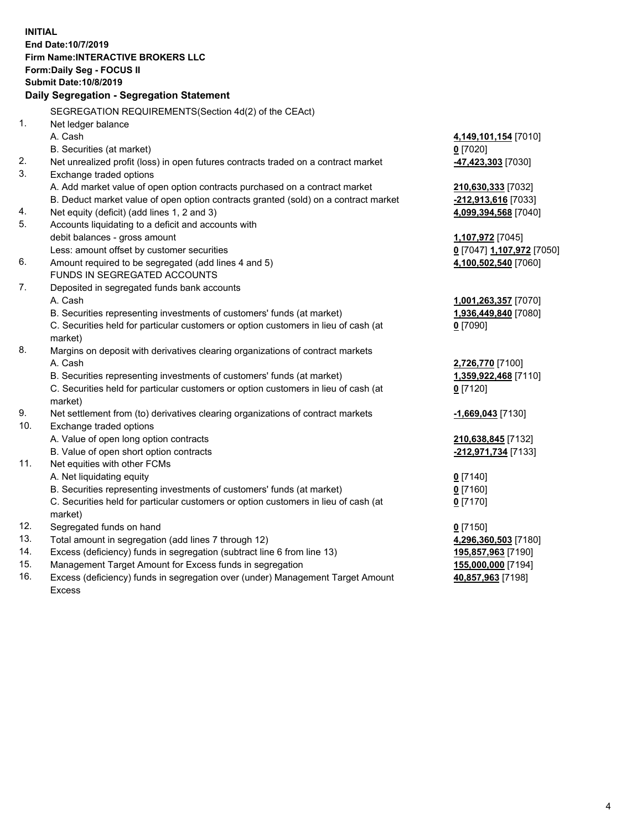**INITIAL End Date:10/7/2019 Firm Name:INTERACTIVE BROKERS LLC Form:Daily Seg - FOCUS II Submit Date:10/8/2019 Daily Segregation - Segregation Statement** SEGREGATION REQUIREMENTS(Section 4d(2) of the CEAct) 1. Net ledger balance A. Cash **4,149,101,154** [7010] B. Securities (at market) **0** [7020] 2. Net unrealized profit (loss) in open futures contracts traded on a contract market **-47,423,303** [7030] 3. Exchange traded options A. Add market value of open option contracts purchased on a contract market **210,630,333** [7032] B. Deduct market value of open option contracts granted (sold) on a contract market **-212,913,616** [7033] 4. Net equity (deficit) (add lines 1, 2 and 3) **4,099,394,568** [7040] 5. Accounts liquidating to a deficit and accounts with debit balances - gross amount **1,107,972** [7045] Less: amount offset by customer securities **0** [7047] **1,107,972** [7050] 6. Amount required to be segregated (add lines 4 and 5) **4,100,502,540** [7060] FUNDS IN SEGREGATED ACCOUNTS 7. Deposited in segregated funds bank accounts A. Cash **1,001,263,357** [7070] B. Securities representing investments of customers' funds (at market) **1,936,449,840** [7080] C. Securities held for particular customers or option customers in lieu of cash (at market) **0** [7090] 8. Margins on deposit with derivatives clearing organizations of contract markets A. Cash **2,726,770** [7100] B. Securities representing investments of customers' funds (at market) **1,359,922,468** [7110] C. Securities held for particular customers or option customers in lieu of cash (at market) **0** [7120] 9. Net settlement from (to) derivatives clearing organizations of contract markets **-1,669,043** [7130] 10. Exchange traded options A. Value of open long option contracts **210,638,845** [7132] B. Value of open short option contracts **-212,971,734** [7133] 11. Net equities with other FCMs A. Net liquidating equity **0** [7140] B. Securities representing investments of customers' funds (at market) **0** [7160] C. Securities held for particular customers or option customers in lieu of cash (at market) **0** [7170] 12. Segregated funds on hand **0** [7150] 13. Total amount in segregation (add lines 7 through 12) **4,296,360,503** [7180] 14. Excess (deficiency) funds in segregation (subtract line 6 from line 13) **195,857,963** [7190] 15. Management Target Amount for Excess funds in segregation **155,000,000** [7194] **40,857,963** [7198]

16. Excess (deficiency) funds in segregation over (under) Management Target Amount Excess